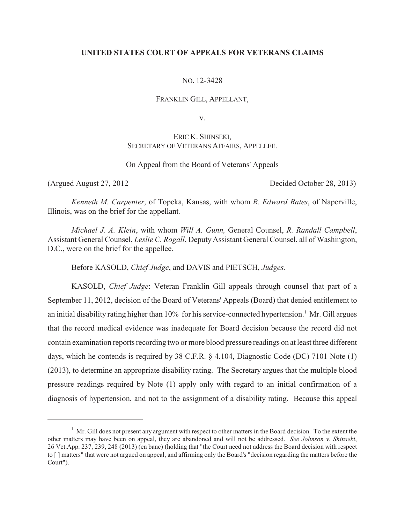# **UNITED STATES COURT OF APPEALS FOR VETERANS CLAIMS**

### NO. 12-3428

#### FRANKLIN GILL, APPELLANT,

V.

# ERIC K. SHINSEKI, SECRETARY OF VETERANS AFFAIRS, APPELLEE.

### On Appeal from the Board of Veterans' Appeals

(Argued August 27, 2012 Decided October 28, 2013)

*Kenneth M. Carpenter*, of Topeka, Kansas, with whom *R. Edward Bates*, of Naperville, Illinois, was on the brief for the appellant*.*

*Michael J. A. Klein*, with whom *Will A. Gunn,* General Counsel, *R. Randall Campbell*, Assistant General Counsel, *Leslie C. Rogall*, Deputy Assistant General Counsel, all of Washington, D.C., were on the brief for the appellee.

Before KASOLD, *Chief Judge*, and DAVIS and PIETSCH, *Judges.*

KASOLD, *Chief Judge*: Veteran Franklin Gill appeals through counsel that part of a September 11, 2012, decision of the Board of Veterans' Appeals (Board) that denied entitlement to an initial disability rating higher than  $10\%$  for his service-connected hypertension.<sup>1</sup> Mr. Gill argues that the record medical evidence was inadequate for Board decision because the record did not contain examination reports recording two or more blood pressure readings on at least three different days, which he contends is required by 38 C.F.R. § 4.104, Diagnostic Code (DC) 7101 Note (1) (2013), to determine an appropriate disability rating. The Secretary argues that the multiple blood pressure readings required by Note (1) apply only with regard to an initial confirmation of a diagnosis of hypertension, and not to the assignment of a disability rating. Because this appeal

 $<sup>1</sup>$  Mr. Gill does not present any argument with respect to other matters in the Board decision. To the extent the</sup> other matters may have been on appeal, they are abandoned and will not be addressed. *See Johnson v. Shinseki*, 26 Vet.App. 237, 239, 248 (2013) (en banc) (holding that "the Court need not address the Board decision with respect to [ ] matters" that were not argued on appeal, and affirming only the Board's "decision regarding the matters before the Court").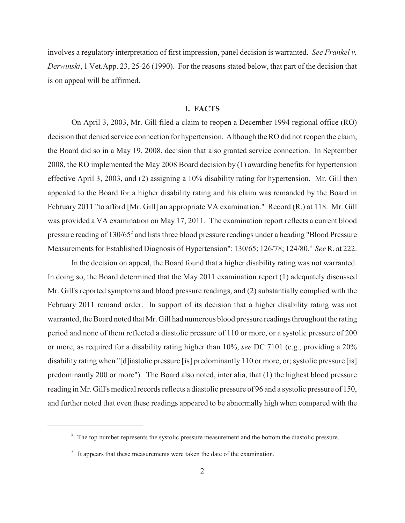involves a regulatory interpretation of first impression, panel decision is warranted. *See Frankel v. Derwinski*, 1 Vet.App. 23, 25-26 (1990). For the reasons stated below, that part of the decision that is on appeal will be affirmed.

# **I. FACTS**

On April 3, 2003, Mr. Gill filed a claim to reopen a December 1994 regional office (RO) decision that denied service connection for hypertension. Although the RO did not reopen the claim, the Board did so in a May 19, 2008, decision that also granted service connection. In September 2008, the RO implemented the May 2008 Board decision by (1) awarding benefits for hypertension effective April 3, 2003, and (2) assigning a 10% disability rating for hypertension. Mr. Gill then appealed to the Board for a higher disability rating and his claim was remanded by the Board in February 2011 "to afford [Mr. Gill] an appropriate VA examination." Record (R.) at 118. Mr. Gill was provided a VA examination on May 17, 2011. The examination report reflects a current blood pressure reading of 130/65<sup>2</sup> and lists three blood pressure readings under a heading "Blood Pressure Measurements for Established Diagnosis of Hypertension": 130/65; 126/78; 124/80.<sup>3</sup> See R. at 222.

In the decision on appeal, the Board found that a higher disability rating was not warranted. In doing so, the Board determined that the May 2011 examination report (1) adequately discussed Mr. Gill's reported symptoms and blood pressure readings, and (2) substantially complied with the February 2011 remand order. In support of its decision that a higher disability rating was not warranted, the Board noted that Mr. Gill had numerous blood pressure readings throughout the rating period and none of them reflected a diastolic pressure of 110 or more, or a systolic pressure of 200 or more, as required for a disability rating higher than 10%, *see* DC 7101 (e.g., providing a 20% disability rating when "[d]iastolic pressure [is] predominantly 110 or more, or; systolic pressure [is] predominantly 200 or more"). The Board also noted, inter alia, that (1) the highest blood pressure reading in Mr. Gill's medical records reflects a diastolic pressure of 96 and a systolic pressure of 150, and further noted that even these readings appeared to be abnormally high when compared with the

 $\frac{1}{2}$ . The top number represents the systolic pressure measurement and the bottom the diastolic pressure.

 $3\,$  It appears that these measurements were taken the date of the examination.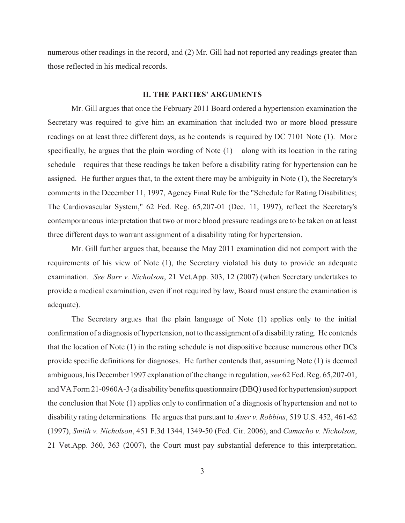numerous other readings in the record, and (2) Mr. Gill had not reported any readings greater than those reflected in his medical records.

#### **II. THE PARTIES' ARGUMENTS**

Mr. Gill argues that once the February 2011 Board ordered a hypertension examination the Secretary was required to give him an examination that included two or more blood pressure readings on at least three different days, as he contends is required by DC 7101 Note (1). More specifically, he argues that the plain wording of Note  $(1)$  – along with its location in the rating schedule – requires that these readings be taken before a disability rating for hypertension can be assigned. He further argues that, to the extent there may be ambiguity in Note (1), the Secretary's comments in the December 11, 1997, Agency Final Rule for the "Schedule for Rating Disabilities; The Cardiovascular System," 62 Fed. Reg. 65,207-01 (Dec. 11, 1997), reflect the Secretary's contemporaneous interpretation that two or more blood pressure readings are to be taken on at least three different days to warrant assignment of a disability rating for hypertension.

Mr. Gill further argues that, because the May 2011 examination did not comport with the requirements of his view of Note (1), the Secretary violated his duty to provide an adequate examination. *See Barr v. Nicholson*, 21 Vet.App. 303, 12 (2007) (when Secretary undertakes to provide a medical examination, even if not required by law, Board must ensure the examination is adequate).

The Secretary argues that the plain language of Note (1) applies only to the initial confirmation of a diagnosis of hypertension, not to the assignment of a disability rating. He contends that the location of Note (1) in the rating schedule is not dispositive because numerous other DCs provide specific definitions for diagnoses. He further contends that, assuming Note (1) is deemed ambiguous, his December 1997 explanation of the change in regulation, *see* 62 Fed. Reg. 65,207-01, and VA Form 21-0960A-3 (a disability benefits questionnaire (DBQ) used for hypertension) support the conclusion that Note (1) applies only to confirmation of a diagnosis of hypertension and not to disability rating determinations. He argues that pursuant to *Auer v. Robbins*, 519 U.S. 452, 461-62 (1997), *Smith v. Nicholson*, 451 F.3d 1344, 1349-50 (Fed. Cir. 2006), and *Camacho v. Nicholson*, 21 Vet.App. 360, 363 (2007), the Court must pay substantial deference to this interpretation.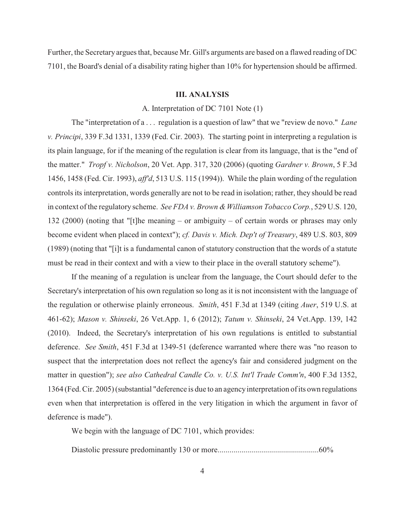Further, the Secretary argues that, because Mr. Gill's arguments are based on a flawed reading of DC 7101, the Board's denial of a disability rating higher than 10% for hypertension should be affirmed.

# **III. ANALYSIS**

### A. Interpretation of DC 7101 Note (1)

The "interpretation of a . . . regulation is a question of law" that we "review de novo." *Lane v. Principi*, 339 F.3d 1331, 1339 (Fed. Cir. 2003). The starting point in interpreting a regulation is its plain language, for if the meaning of the regulation is clear from its language, that is the "end of the matter." *Tropf v. Nicholson*, 20 Vet. App. 317, 320 (2006) (quoting *Gardner v. Brown*, 5 F.3d 1456, 1458 (Fed. Cir. 1993), *aff'd*, 513 U.S. 115 (1994)). While the plain wording of the regulation controls its interpretation, words generally are not to be read in isolation; rather, they should be read in context of the regulatory scheme. *See FDA v. Brown & Williamson Tobacco Corp.*, 529 U.S. 120, 132 (2000) (noting that "[t]he meaning – or ambiguity – of certain words or phrases may only become evident when placed in context"); *cf. Davis v. Mich. Dep't of Treasury*, 489 U.S. 803, 809 (1989) (noting that "[i]t is a fundamental canon of statutory construction that the words of a statute must be read in their context and with a view to their place in the overall statutory scheme").

If the meaning of a regulation is unclear from the language, the Court should defer to the Secretary's interpretation of his own regulation so long as it is not inconsistent with the language of the regulation or otherwise plainly erroneous. *Smith*, 451 F.3d at 1349 (citing *Auer*, 519 U.S. at 461-62); *Mason v. Shinseki*, 26 Vet.App. 1, 6 (2012); *Tatum v. Shinseki*, 24 Vet.App. 139, 142 (2010). Indeed, the Secretary's interpretation of his own regulations is entitled to substantial deference. *See Smith*, 451 F.3d at 1349-51 (deference warranted where there was "no reason to suspect that the interpretation does not reflect the agency's fair and considered judgment on the matter in question"); *see also Cathedral Candle Co. v. U.S. Int'l Trade Comm'n*, 400 F.3d 1352, 1364 (Fed. Cir. 2005) (substantial "deference is due to an agency interpretation of its own regulations even when that interpretation is offered in the very litigation in which the argument in favor of deference is made").

We begin with the language of DC 7101, which provides:

Diastolic pressure predominantly 130 or more...................................................60%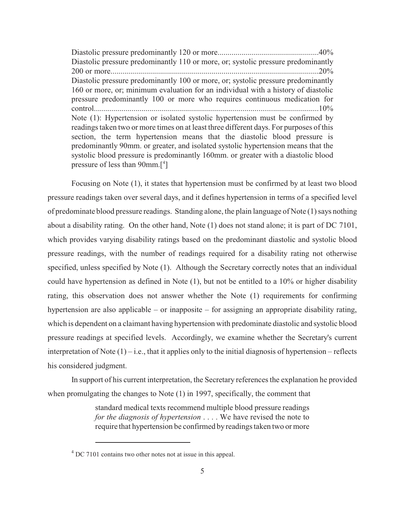Diastolic pressure predominantly 120 or more...................................................40% Diastolic pressure predominantly 110 or more, or; systolic pressure predominantly 200 or more.........................................................................................................20% Diastolic pressure predominantly 100 or more, or; systolic pressure predominantly 160 or more, or; minimum evaluation for an individual with a history of diastolic pressure predominantly 100 or more who requires continuous medication for control.................................................................................................................10% Note (1): Hypertension or isolated systolic hypertension must be confirmed by readings taken two or more times on at least three different days. For purposes of this section, the term hypertension means that the diastolic blood pressure is predominantly 90mm. or greater, and isolated systolic hypertension means that the systolic blood pressure is predominantly 160mm. or greater with a diastolic blood pressure of less than  $90$ mm.<sup>[4]</sup>

Focusing on Note (1), it states that hypertension must be confirmed by at least two blood pressure readings taken over several days, and it defines hypertension in terms of a specified level of predominate blood pressure readings. Standing alone, the plain language of Note (1) says nothing about a disability rating. On the other hand, Note (1) does not stand alone; it is part of DC 7101, which provides varying disability ratings based on the predominant diastolic and systolic blood pressure readings, with the number of readings required for a disability rating not otherwise specified, unless specified by Note (1). Although the Secretary correctly notes that an individual could have hypertension as defined in Note (1), but not be entitled to a 10% or higher disability rating, this observation does not answer whether the Note (1) requirements for confirming hypertension are also applicable – or inapposite – for assigning an appropriate disability rating, which is dependent on a claimant having hypertension with predominate diastolic and systolic blood pressure readings at specified levels. Accordingly, we examine whether the Secretary's current interpretation of Note  $(1)$  – i.e., that it applies only to the initial diagnosis of hypertension – reflects his considered judgment.

In support of his current interpretation, the Secretary references the explanation he provided when promulgating the changes to Note (1) in 1997, specifically, the comment that

> standard medical texts recommend multiple blood pressure readings *for the diagnosis of hypertension* . . . . We have revised the note to require that hypertension be confirmed by readings taken two or more

 $4^4$  DC 7101 contains two other notes not at issue in this appeal.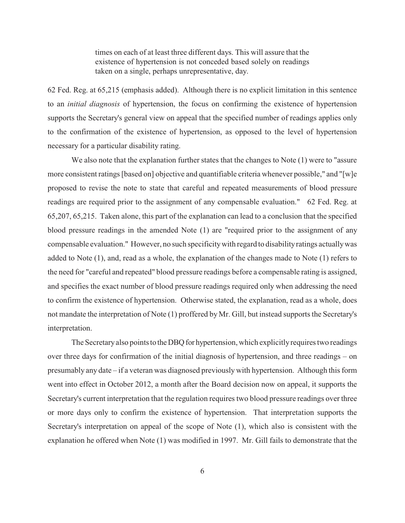times on each of at least three different days. This will assure that the existence of hypertension is not conceded based solely on readings taken on a single, perhaps unrepresentative, day.

62 Fed. Reg. at 65,215 (emphasis added). Although there is no explicit limitation in this sentence to an *initial diagnosis* of hypertension, the focus on confirming the existence of hypertension supports the Secretary's general view on appeal that the specified number of readings applies only to the confirmation of the existence of hypertension, as opposed to the level of hypertension necessary for a particular disability rating.

We also note that the explanation further states that the changes to Note  $(1)$  were to "assure" more consistent ratings [based on] objective and quantifiable criteria whenever possible," and "[w]e proposed to revise the note to state that careful and repeated measurements of blood pressure readings are required prior to the assignment of any compensable evaluation." 62 Fed. Reg. at 65,207, 65,215. Taken alone, this part of the explanation can lead to a conclusion that the specified blood pressure readings in the amended Note (1) are "required prior to the assignment of any compensable evaluation." However, no such specificity with regard to disability ratings actually was added to Note (1), and, read as a whole, the explanation of the changes made to Note (1) refers to the need for "careful and repeated" blood pressure readings before a compensable rating is assigned, and specifies the exact number of blood pressure readings required only when addressing the need to confirm the existence of hypertension. Otherwise stated, the explanation, read as a whole, does not mandate the interpretation of Note (1) proffered by Mr. Gill, but instead supports the Secretary's interpretation.

The Secretary also points to the DBQ for hypertension, which explicitly requires two readings over three days for confirmation of the initial diagnosis of hypertension, and three readings – on presumably any date – if a veteran was diagnosed previously with hypertension. Although this form went into effect in October 2012, a month after the Board decision now on appeal, it supports the Secretary's current interpretation that the regulation requires two blood pressure readings over three or more days only to confirm the existence of hypertension. That interpretation supports the Secretary's interpretation on appeal of the scope of Note (1), which also is consistent with the explanation he offered when Note (1) was modified in 1997. Mr. Gill fails to demonstrate that the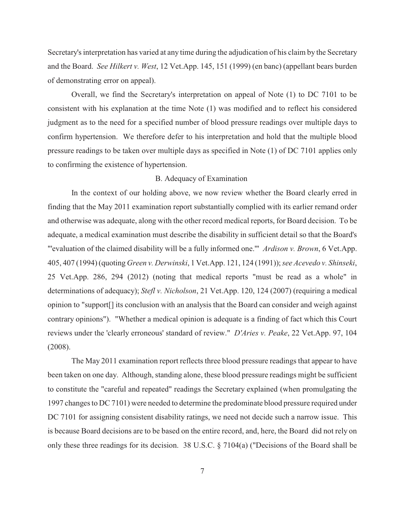Secretary's interpretation has varied at any time during the adjudication of his claim by the Secretary and the Board. *See Hilkert v. West*, 12 Vet.App. 145, 151 (1999) (en banc) (appellant bears burden of demonstrating error on appeal).

Overall, we find the Secretary's interpretation on appeal of Note (1) to DC 7101 to be consistent with his explanation at the time Note (1) was modified and to reflect his considered judgment as to the need for a specified number of blood pressure readings over multiple days to confirm hypertension. We therefore defer to his interpretation and hold that the multiple blood pressure readings to be taken over multiple days as specified in Note (1) of DC 7101 applies only to confirming the existence of hypertension.

# B. Adequacy of Examination

In the context of our holding above, we now review whether the Board clearly erred in finding that the May 2011 examination report substantially complied with its earlier remand order and otherwise was adequate, along with the other record medical reports, for Board decision. To be adequate, a medical examination must describe the disability in sufficient detail so that the Board's "'evaluation of the claimed disability will be a fully informed one.'" *Ardison v. Brown*, 6 Vet.App. 405, 407 (1994) (quoting *Green v. Derwinski*, 1 Vet.App. 121, 124 (1991)); *see Acevedo v. Shinseki*, 25 Vet.App. 286, 294 (2012) (noting that medical reports "must be read as a whole" in determinations of adequacy); *Stefl v. Nicholson*, 21 Vet.App. 120, 124 (2007) (requiring a medical opinion to "support[] its conclusion with an analysis that the Board can consider and weigh against contrary opinions"). "Whether a medical opinion is adequate is a finding of fact which this Court reviews under the 'clearly erroneous' standard of review." *D'Aries v. Peake*, 22 Vet.App. 97, 104 (2008).

The May 2011 examination report reflects three blood pressure readings that appear to have been taken on one day. Although, standing alone, these blood pressure readings might be sufficient to constitute the "careful and repeated" readings the Secretary explained (when promulgating the 1997 changes to DC 7101) were needed to determine the predominate blood pressure required under DC 7101 for assigning consistent disability ratings, we need not decide such a narrow issue. This is because Board decisions are to be based on the entire record, and, here, the Board did not rely on only these three readings for its decision. 38 U.S.C. § 7104(a) ("Decisions of the Board shall be